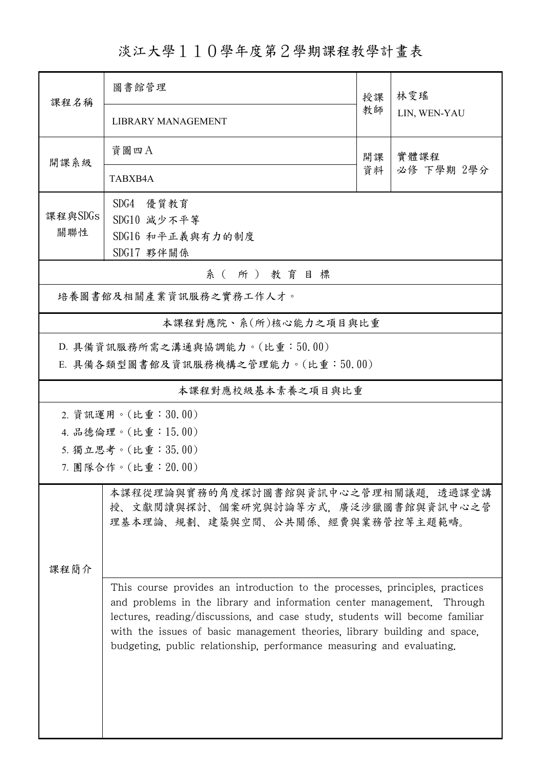淡江大學110學年度第2學期課程教學計畫表

| 課程名稱                   | 圖書館管理                                                                                                                                                                                                                              | 授課 | 林雯瑤                |  |  |  |
|------------------------|------------------------------------------------------------------------------------------------------------------------------------------------------------------------------------------------------------------------------------|----|--------------------|--|--|--|
|                        | <b>LIBRARY MANAGEMENT</b>                                                                                                                                                                                                          |    | LIN, WEN-YAU       |  |  |  |
| 開課系級                   | 資圖四A                                                                                                                                                                                                                               | 開課 | 實體課程<br>必修 下學期 2學分 |  |  |  |
|                        | TABXB4A                                                                                                                                                                                                                            | 資料 |                    |  |  |  |
| 課程與SDGs                | SDG4 優質教育                                                                                                                                                                                                                          |    |                    |  |  |  |
| 關聯性                    | SDG10 減少不平等<br>SDG16 和平正義與有力的制度                                                                                                                                                                                                    |    |                    |  |  |  |
|                        | SDG17 夥伴關係                                                                                                                                                                                                                         |    |                    |  |  |  |
| 系(所)教育目標               |                                                                                                                                                                                                                                    |    |                    |  |  |  |
| 培養圖書館及相關產業資訊服務之實務工作人才。 |                                                                                                                                                                                                                                    |    |                    |  |  |  |
|                        | 本課程對應院、系(所)核心能力之項目與比重                                                                                                                                                                                                              |    |                    |  |  |  |
|                        | D. 具備資訊服務所需之溝通與協調能力。(比重:50.00)                                                                                                                                                                                                     |    |                    |  |  |  |
|                        | E. 具備各類型圖書館及資訊服務機構之管理能力。(比重:50.00)                                                                                                                                                                                                 |    |                    |  |  |  |
| 本課程對應校級基本素養之項目與比重      |                                                                                                                                                                                                                                    |    |                    |  |  |  |
|                        | 2. 資訊運用。(比重:30.00)                                                                                                                                                                                                                 |    |                    |  |  |  |
| 4. 品德倫理。(比重: 15.00)    |                                                                                                                                                                                                                                    |    |                    |  |  |  |
| 5. 獨立思考。(比重:35.00)     |                                                                                                                                                                                                                                    |    |                    |  |  |  |
| 7. 團隊合作。(比重:20.00)     |                                                                                                                                                                                                                                    |    |                    |  |  |  |
|                        | 本課程從理論與實務的角度探討圖書館與資訊中心之管理相關議題,透過課堂講<br>授、文獻閱讀與探討、個案研究與討論等方式,廣泛涉獵圖書館與資訊中心之管<br>理基本理論、規劃、建築與空間、公共關係、經費與業務管控等主題範疇。                                                                                                                    |    |                    |  |  |  |
| 课程简介                   |                                                                                                                                                                                                                                    |    |                    |  |  |  |
|                        | This course provides an introduction to the processes, principles, practices<br>and problems in the library and information center management. Through                                                                             |    |                    |  |  |  |
|                        | lectures, reading/discussions, and case study, students will become familiar<br>with the issues of basic management theories, library building and space,<br>budgeting, public relationship, performance measuring and evaluating. |    |                    |  |  |  |
|                        |                                                                                                                                                                                                                                    |    |                    |  |  |  |
|                        |                                                                                                                                                                                                                                    |    |                    |  |  |  |
|                        |                                                                                                                                                                                                                                    |    |                    |  |  |  |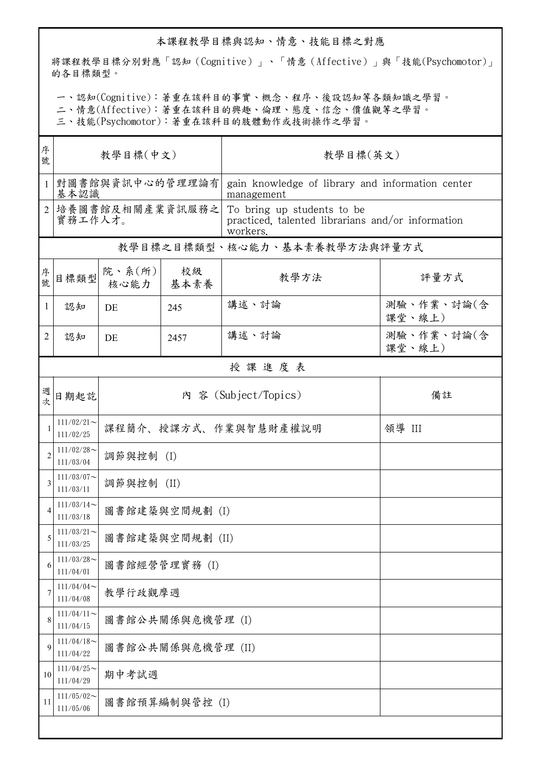## 本課程教學目標與認知、情意、技能目標之對應

將課程教學目標分別對應「認知(Cognitive)」、「情意(Affective)」與「技能(Psychomotor)」 的各目標類型。

一、認知(Cognitive):著重在該科目的事實、概念、程序、後設認知等各類知識之學習。

二、情意(Affective):著重在該科目的興趣、倫理、態度、信念、價值觀等之學習。

三、技能(Psychomotor):著重在該科目的肢體動作或技術操作之學習。

| 序<br>號                      | 教學目標(中文)                     |                                |            | 教學目標(英文)                                                                                    |                      |  |  |  |
|-----------------------------|------------------------------|--------------------------------|------------|---------------------------------------------------------------------------------------------|----------------------|--|--|--|
| $\mathbf{1}$                | 對圖書館與資訊中心的管理理論有<br>基本認識      |                                |            | gain knowledge of library and information center<br>management                              |                      |  |  |  |
| $\mathcal{D}_{\mathcal{L}}$ | 培養圖書館及相關產業資訊服務之<br>實務工作人才。   |                                |            | To bring up students to be<br>practiced, talented librarians and/or information<br>workers. |                      |  |  |  |
|                             | 教學目標之目標類型、核心能力、基本素養教學方法與評量方式 |                                |            |                                                                                             |                      |  |  |  |
| 序號                          | 目標類型                         | 院、系(所)<br>核心能力                 | 校級<br>基本素養 | 教學方法                                                                                        | 評量方式                 |  |  |  |
| 1                           | 認知                           | DE                             | 245        | 講述、討論                                                                                       | 測驗、作業、討論(含<br>課堂、線上) |  |  |  |
| 2                           | 認知                           | DE                             | 2457       | 講述、討論                                                                                       | 測驗、作業、討論(含<br>課堂、線上) |  |  |  |
|                             | 授課進度表                        |                                |            |                                                                                             |                      |  |  |  |
| 週次                          | 日期起訖                         |                                |            | 內 容 (Subject/Topics)                                                                        | 備註                   |  |  |  |
|                             | $111/02/21$ ~<br>111/02/25   | 課程簡介、授課方式、作業與智慧財產權說明<br>領導 III |            |                                                                                             |                      |  |  |  |
| $\overline{2}$              | $111/02/28$ ~<br>111/03/04   | 調節與控制 (I)                      |            |                                                                                             |                      |  |  |  |
| 3                           | $111/03/07$ ~<br>111/03/11   | 調節與控制 (II)                     |            |                                                                                             |                      |  |  |  |
| $\overline{4}$              | $111/03/14$ ~<br>111/03/18   | 圖書館建築與空間規劃 (I)                 |            |                                                                                             |                      |  |  |  |
| 5                           | $111/03/21$ ~<br>111/03/25   | 圖書館建築與空間規劃 (II)                |            |                                                                                             |                      |  |  |  |
| 6                           | $111/03/28$ ~<br>111/04/01   | 圖書館經營管理實務 (I)                  |            |                                                                                             |                      |  |  |  |
| 7                           | $111/04/04$ ~<br>111/04/08   | 教學行政觀摩週                        |            |                                                                                             |                      |  |  |  |
| 8                           | $111/04/11$ ~<br>111/04/15   | 圖書館公共關係與危機管理 (I)               |            |                                                                                             |                      |  |  |  |
| 9                           | $111/04/18$ ~<br>111/04/22   | 圖書館公共關係與危機管理 (II)              |            |                                                                                             |                      |  |  |  |
| 10                          | $111/04/25$ ~<br>111/04/29   | 期中考試週                          |            |                                                                                             |                      |  |  |  |
| 11                          | $111/05/02$ ~<br>111/05/06   | 圖書館預算編制與管控 (I)                 |            |                                                                                             |                      |  |  |  |
|                             |                              |                                |            |                                                                                             |                      |  |  |  |